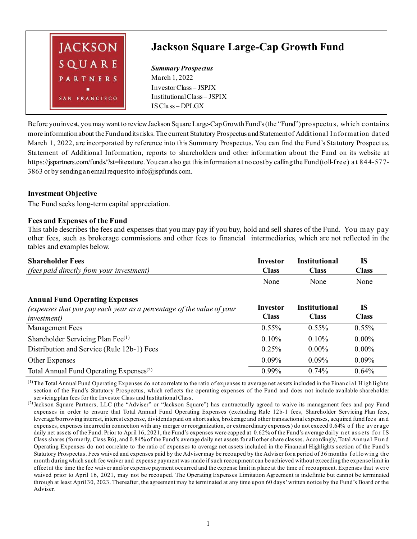

Before you invest, you may want to review Jackson Square Large-Cap Growth Fund's (the "Fund") prospectus, which contains more information about the Fund and its risks. The current Statutory Prospectus and Statement of Additional I nformation dated March 1, 2022, are incorporated by reference into this Summary Prospectus. You can find the Fund's Statutory Prospectus, Statement of Additional Information, reports to shareholders and other information about the Fund on its website at https://jspartners.com/funds/?st=literature. You can also get this information at no cost by calling the Fund (toll-free) a t 844-577- 3863 or by sending an email request to info@jspfunds.com.

## **Investment Objective**

The Fund seeks long-term capital appreciation.

## **Fees and Expenses of the Fund**

This table describes the fees and expenses that you may pay if you buy, hold and sell shares of the Fund. You may pay other fees, such as brokerage commissions and other fees to financial intermediaries, which are not reflected in the tables and examples below.

| <b>Shareholder Fees</b>                                               | <b>Investor</b> | <b>Institutional</b> | <b>IS</b>    |
|-----------------------------------------------------------------------|-----------------|----------------------|--------------|
| <i>(fees paid directly from your investment)</i>                      | <b>Class</b>    | <b>Class</b>         | <b>Class</b> |
|                                                                       | None            | None                 | None         |
| <b>Annual Fund Operating Expenses</b>                                 |                 |                      |              |
| (expenses that you pay each year as a percentage of the value of your | Investor        | <b>Institutional</b> | <b>IS</b>    |
| <i>investment</i> )                                                   | <b>Class</b>    | <b>Class</b>         | <b>Class</b> |
| <b>Management Fees</b>                                                | $0.55\%$        | $0.55\%$             | $0.55\%$     |
| Shareholder Servicing Plan Fee $^{(1)}$                               | 0.10%           | $0.10\%$             | $0.00\%$     |
| Distribution and Service (Rule 12b-1) Fees                            | 0.25%           | $0.00\%$             | $0.00\%$     |
| <b>Other Expenses</b>                                                 | $0.09\%$        | $0.09\%$             | $0.09\%$     |
| Total Annual Fund Operating Expenses <sup>(2)</sup>                   | $0.99\%$        | $0.74\%$             | 0.64%        |

(1)The Total Annual Fund Operating Expenses do not correlate to the ratio of expenses to average net assets included in the Financial Highlights section of the Fund's Statutory Prospectus, which reflects the operating expenses of the Fund and does not include available shareholder servicing plan fees for the Investor Class and Institutional Class.

<sup>(2)</sup>Jackson Square Partners, LLC (the "Adviser" or "Jackson Square") has contractually agreed to waive its management fees and pay Fund expenses in order to ensure that Total Annual Fund Operating Expenses (excluding Rule 12b-1 fees, Shareholder Servicing Plan fees, leverage/borrowing interest, interest expense, dividends paid on short sales, brokerage and other transactional expenses, acquired fund fees an d expenses, expenses incurred in connection with any merger or reorganization, or extraordinary expenses) do not exceed 0.64% o f the average daily net assets of the Fund. Prior to April 16, 2021, the Fund's expenses were capped at 0.62% of the Fund's average daily net assets for IS Class shares (formerly, Class R6), and 0.84% of the Fund's average daily net assets for all other share classes. Accordingly, Total Annual Fund Operating Expenses do not correlate to the ratio of expenses to average net assets included in the Financial Highlights section of the Fund's Statutory Prospectus. Fees waived and expenses paid by the Advisermay be recouped by the Adviser for a period of 36 months following the month during which such fee waiver and expense payment was made if such recoupment can be achieved without exceeding the expense limit in effect at the time the fee waiver and/or expense payment occurred and the expense limit in place at the time of recoupment. Expenses that were waived prior to April 16, 2021, may not be recouped. The Operating Expenses Limitation Agreement is indefinite but cannot be terminated through at least April 30, 2023. Thereafter, the agreement may be terminated at any time upon 60 days' written notice by the Fund's Board or the Adviser.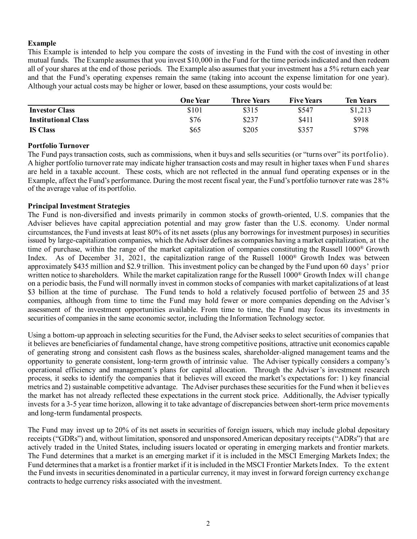## **Example**

This Example is intended to help you compare the costs of investing in the Fund with the cost of investing in other mutual funds. The Example assumes that you invest \$10,000 in the Fund for the time periods indicated and then redeem all of your shares at the end of those periods. The Example also assumes that your investment has a 5% return each year and that the Fund's operating expenses remain the same (taking into account the expense limitation for one year). Although your actual costs may be higher or lower, based on these assumptions, your costs would be:

|                            | <b>One Year</b> | Three Years | <b>Five Years</b> | <b>Ten Years</b> |
|----------------------------|-----------------|-------------|-------------------|------------------|
| <b>Investor Class</b>      | \$101           | \$315       | \$547             | \$1,213          |
| <b>Institutional Class</b> | \$76            | \$237       | \$411             | \$918            |
| <b>IS Class</b>            | \$65            | \$205       | \$357             | \$798            |

### **Portfolio Turnover**

The Fund pays transaction costs, such as commissions, when it buys and sells securities (or "turns over" its portfolio). A higher portfolio turnover rate may indicate higher transaction costs and may result in higher taxes when Fund shares are held in a taxable account. These costs, which are not reflected in the annual fund operating expenses or in the Example, affect the Fund's performance. During the most recent fiscal year, the Fund's portfolio turnover rate was 28% of the average value of its portfolio.

### **Principal Investment Strategies**

The Fund is non-diversified and invests primarily in common stocks of growth-oriented, U.S. companies that the Adviser believes have capital appreciation potential and may grow faster than the U.S. economy. Under normal circumstances, the Fund invests at least 80% of its net assets (plus any borrowings for investment purposes) in securities issued by large-capitalization companies, which the Adviser defines as companies having a market capitalization, at the time of purchase, within the range of the market capitalization of companies constituting the Russell 1000® Growth Index. As of December 31, 2021, the capitalization range of the Russell 1000® Growth Index was between approximately \$435 million and \$2.9 trillion. This investment policy can be changed by the Fund upon 60 days' prior written notice to shareholders. While the market capitalization range for the Russell 1000<sup>®</sup> Growth Index will change on a periodic basis, the Fund will normally invest in common stocks of companies with market capitalizations of at least \$3 billion at the time of purchase. The Fund tends to hold a relatively focused portfolio of between 25 and 35 companies, although from time to time the Fund may hold fewer or more companies depending on the Adviser's assessment of the investment opportunities available. From time to time, the Fund may focus its investments in securities of companies in the same economic sector, including the Information Technology sector.

Using a bottom-up approach in selecting securities for the Fund, the Adviser seeks to select securities of companies that it believes are beneficiaries of fundamental change, have strong competitive positions, attractive unit economics capable of generating strong and consistent cash flows as the business scales, shareholder-aligned management teams and the opportunity to generate consistent, long-term growth of intrinsic value. The Adviser typically considers a company's operational efficiency and management's plans for capital allocation. Through the Adviser's investment research process, it seeks to identify the companies that it believes will exceed the market's expectations for: 1) key financial metrics and 2) sustainable competitive advantage. The Adviser purchases these securities for the Fund when it believes the market has not already reflected these expectations in the current stock price. Additionally, the Adviser typically invests for a 3-5 year time horizon, allowing it to take advantage of discrepancies between short-term price movements and long-term fundamental prospects.

The Fund may invest up to 20% of its net assets in securities of foreign issuers, which may include global depositary receipts ("GDRs") and, without limitation, sponsored and unsponsored American depositary receipts ("ADRs") that are actively traded in the United States, including issuers located or operating in emerging markets and frontier markets. The Fund determines that a market is an emerging market if it is included in the MSCI Emerging Markets Index; the Fund determines that a market is a frontier market if it is included in the MSCI Frontier Markets Index. To the extent the Fund invests in securities denominated in a particular currency, it may invest in forward foreign currency exchange contracts to hedge currency risks associated with the investment.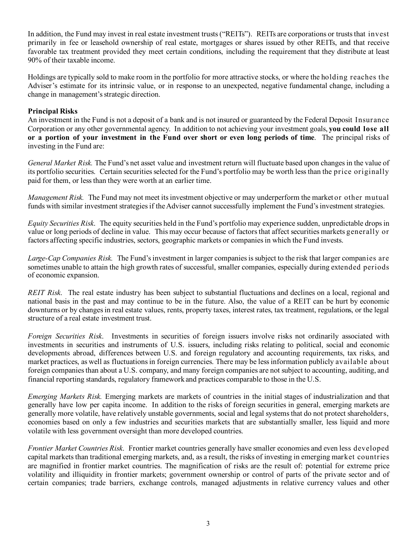In addition, the Fund may invest in real estate investment trusts ("REITs"). REITs are corporations or trusts that invest primarily in fee or leasehold ownership of real estate, mortgages or shares issued by other REITs, and that receive favorable tax treatment provided they meet certain conditions, including the requirement that they distribute at least 90% of their taxable income.

Holdings are typically sold to make room in the portfolio for more attractive stocks, or where the holding reaches the Adviser's estimate for its intrinsic value, or in response to an unexpected, negative fundamental change, including a change in management's strategic direction.

## **Principal Risks**

An investment in the Fund is not a deposit of a bank and is not insured or guaranteed by the Federal Deposit Insurance Corporation or any other governmental agency. In addition to not achieving your investment goals, **you could lose all or a portion of your investment in the Fund over short or even long periods of time**. The principal risks of investing in the Fund are:

*General Market Risk.* The Fund's net asset value and investment return will fluctuate based upon changes in the value of its portfolio securities. Certain securities selected for the Fund's portfolio may be worth less than the price originally paid for them, or less than they were worth at an earlier time.

*Management Risk.* The Fund may not meet its investment objective or may underperform the market or other mutual funds with similar investment strategies if the Adviser cannot successfully implement the Fund's investment strategies.

*Equity Securities Risk*. The equity securities held in the Fund's portfolio may experience sudden, unpredictable drops in value or long periods of decline in value. This may occur because of factors that affect securities markets generally or factors affecting specific industries, sectors, geographic markets or companies in which the Fund invests.

*Large-Cap Companies Risk.* The Fund's investment in larger companies is subject to the risk that larger companies are sometimes unable to attain the high growth rates of successful, smaller companies, especially during extended periods of economic expansion.

*REIT Risk*. The real estate industry has been subject to substantial fluctuations and declines on a local, regional and national basis in the past and may continue to be in the future. Also, the value of a REIT can be hurt by economic downturns or by changes in real estate values, rents, property taxes, interest rates, tax treatment, regulations, or the legal structure of a real estate investment trust.

*Foreign Securities Risk*. Investments in securities of foreign issuers involve risks not ordinarily associated with investments in securities and instruments of U.S. issuers, including risks relating to political, social and economic developments abroad, differences between U.S. and foreign regulatory and accounting requirements, tax risks, and market practices, as well as fluctuations in foreign currencies. There may be less information publicly available about foreign companies than about a U.S. company, and many foreign companies are not subject to accounting, auditing, and financial reporting standards, regulatory framework and practices comparable to those in the U.S.

*Emerging Markets Risk.* Emerging markets are markets of countries in the initial stages of industrialization and that generally have low per capita income. In addition to the risks of foreign securities in general, emerging markets are generally more volatile, have relatively unstable governments, social and legal systems that do not protect shareholders, economies based on only a few industries and securities markets that are substantially smaller, less liquid and more volatile with less government oversight than more developed countries.

*Frontier Market Countries Risk*. Frontier market countries generally have smaller economies and even less developed capital markets than traditional emerging markets, and, as a result, the risks of investing in emerging market countries are magnified in frontier market countries. The magnification of risks are the result of: potential for extreme price volatility and illiquidity in frontier markets; government ownership or control of parts of the private sector and of certain companies; trade barriers, exchange controls, managed adjustments in relative currency values and other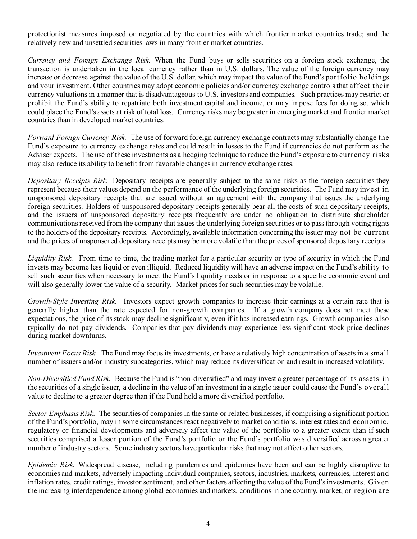protectionist measures imposed or negotiated by the countries with which frontier market countries trade; and the relatively new and unsettled securities laws in many frontier market countries.

*Currency and Foreign Exchange Risk.* When the Fund buys or sells securities on a foreign stock exchange, the transaction is undertaken in the local currency rather than in U.S. dollars. The value of the foreign currency may increase or decrease against the value of the U.S. dollar, which may impact the value of the Fund's portfolio holdings and your investment. Other countries may adopt economic policies and/or currency exchange controls that affect their currency valuations in a manner that is disadvantageous to U.S. investors and companies. Such practices may restrict or prohibit the Fund's ability to repatriate both investment capital and income, or may impose fees for doing so, which could place the Fund's assets at risk of total loss. Currency risks may be greater in emerging market and frontier market countries than in developed market countries.

*Forward Foreign Currency Risk.* The use of forward foreign currency exchange contracts may substantially change the Fund's exposure to currency exchange rates and could result in losses to the Fund if currencies do not perform as the Adviser expects. The use of these investments as a hedging technique to reduce the Fund's exposure to currency risks may also reduce its ability to benefit from favorable changes in currency exchange rates.

*Depositary Receipts Risk.* Depositary receipts are generally subject to the same risks as the foreign securities they represent because their values depend on the performance of the underlying foreign securities. The Fund may invest in unsponsored depositary receipts that are issued without an agreement with the company that issues the underlying foreign securities. Holders of unsponsored depositary receipts generally bear all the costs of such depositary receipts, and the issuers of unsponsored depositary receipts frequently are under no obligation to distribute shareholder communications received from the company that issues the underlying foreign securities or to pass through voting rights to the holders of the depositary receipts. Accordingly, available information concerning the issuer may not be current and the prices of unsponsored depositary receipts may be more volatile than the prices of sponsored depositary receipts.

*Liquidity Risk.* From time to time, the trading market for a particular security or type of security in which the Fund invests may become less liquid or even illiquid. Reduced liquidity will have an adverse impact on the Fund's ability to sell such securities when necessary to meet the Fund's liquidity needs or in response to a specific economic event and will also generally lower the value of a security. Market prices for such securities may be volatile.

*Growth-Style Investing Risk*. Investors expect growth companies to increase their earnings at a certain rate that is generally higher than the rate expected for non-growth companies. If a growth company does not meet these expectations, the price of its stock may decline significantly, even if it has increased earnings. Growth companies also typically do not pay dividends. Companies that pay dividends may experience less significant stock price declines during market downturns.

*Investment Focus Risk.* The Fund may focus its investments, or have a relatively high concentration of assets in a small number of issuers and/or industry subcategories, which may reduce its diversification and result in increased volatility.

*Non-Diversified Fund Risk.* Because the Fund is "non-diversified" and may invest a greater percentage of its assets in the securities of a single issuer, a decline in the value of an investment in a single issuer could cause the Fund's overall value to decline to a greater degree than if the Fund held a more diversified portfolio.

*Sector Emphasis Risk*. The securities of companies in the same or related businesses, if comprising a significant portion of the Fund's portfolio, may in some circumstances react negatively to market conditions, interest rates and economic, regulatory or financial developments and adversely affect the value of the portfolio to a greater extent than if such securities comprised a lesser portion of the Fund's portfolio or the Fund's portfolio was diversified across a greater number of industry sectors. Some industry sectors have particular risks that may not affect other sectors.

*Epidemic Risk.* Widespread disease, including pandemics and epidemics have been and can be highly disruptive to economies and markets, adversely impacting individual companies, sectors, industries, markets, currencies, interest and inflation rates, credit ratings, investor sentiment, and other factors affecting the value of the Fund's investments. Given the increasing interdependence among global economies and markets, conditions in one country, market, or region are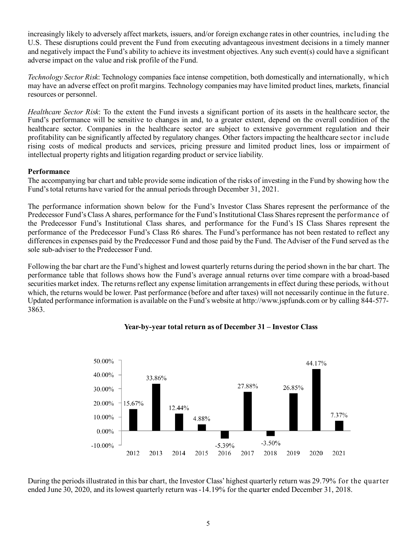increasingly likely to adversely affect markets, issuers, and/or foreign exchange rates in other countries, including the U.S. These disruptions could prevent the Fund from executing advantageous investment decisions in a timely manner and negatively impact the Fund's ability to achieve its investment objectives. Any such event(s) could have a significant adverse impact on the value and risk profile of the Fund.

*Technology Sector Risk*: Technology companies face intense competition, both domestically and internationally, which may have an adverse effect on profit margins. Technology companies may have limited product lines, markets, financial resources or personnel.

*Healthcare Sector Risk*: To the extent the Fund invests a significant portion of its assets in the healthcare sector, the Fund's performance will be sensitive to changes in and, to a greater extent, depend on the overall condition of the healthcare sector. Companies in the healthcare sector are subject to extensive government regulation and their profitability can be significantly affected by regulatory changes. Other factors impacting the healthcare sector include rising costs of medical products and services, pricing pressure and limited product lines, loss or impairment of intellectual property rights and litigation regarding product or service liability.

## **Performance**

The accompanying bar chart and table provide some indication of the risks of investing in the Fund by showing how the Fund's total returns have varied for the annual periods through December 31, 2021.

The performance information shown below for the Fund's Investor Class Shares represent the performance of the Predecessor Fund's Class A shares, performance for the Fund's Institutional Class Shares represent the performance of the Predecessor Fund's Institutional Class shares, and performance for the Fund's IS Class Shares represent the performance of the Predecessor Fund's Class R6 shares. The Fund's performance has not been restated to reflect any differences in expenses paid by the Predecessor Fund and those paid by the Fund. The Adviser of the Fund served as the sole sub-adviser to the Predecessor Fund.

Following the bar chart are the Fund's highest and lowest quarterly returns during the period shown in the bar chart. The performance table that follows shows how the Fund's average annual returns over time compare with a broad-based securities market index. The returns reflect any expense limitation arrangements in effect during these periods, without which, the returns would be lower. Past performance (before and after taxes) will not necessarily continue in the future. Updated performance information is available on the Fund's website at http://www.jspfunds.com or by calling 844-577- 3863.



# **Year-by-year total return as of December 31 – Investor Class**

During the periods illustrated in this bar chart, the Investor Class' highest quarterly return was 29.79% for the quarter ended June 30, 2020, and its lowest quarterly return was -14.19% for the quarter ended December 31, 2018.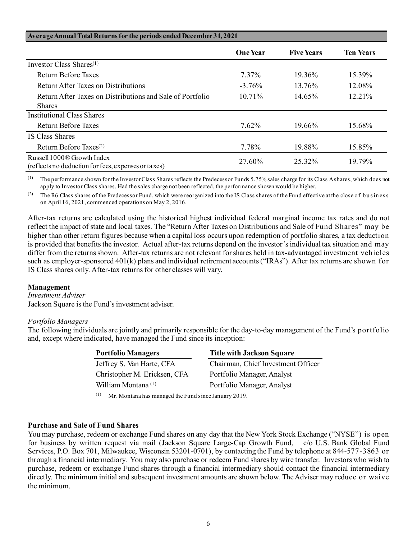| Average Annual Total Returns for the periods ended December 31, 2021                          |                 |                   |                  |
|-----------------------------------------------------------------------------------------------|-----------------|-------------------|------------------|
|                                                                                               | <b>One Year</b> | <b>Five Years</b> | <b>Ten Years</b> |
| Investor Class Shares <sup>(1)</sup>                                                          |                 |                   |                  |
| Return Before Taxes                                                                           | 7.37%           | 19.36%            | 15.39%           |
| Return After Taxes on Distributions                                                           | $-3.76%$        | 13.76%            | 12.08%           |
| Return After Taxes on Distributions and Sale of Portfolio                                     | 10.71%          | 14.65%            | $12.21\%$        |
| <b>Shares</b>                                                                                 |                 |                   |                  |
| Institutional Class Shares                                                                    |                 |                   |                  |
| Return Before Taxes                                                                           | 7.62%           | 19.66%            | 15.68%           |
| IS Class Shares                                                                               |                 |                   |                  |
| Return Before Taxes $(2)$                                                                     | 7.78%           | 19.88%            | 15.85%           |
| Russell 1000 <sup>®</sup> Growth Index<br>(reflects no deduction for fees, expenses or taxes) | 27.60%          | 25.32%            | 19.79%           |

(1) The performance shown for the Investor Class Shares reflects the Predecessor Funds 5.75% sales charge for its Class A shares, which does not apply to Investor Class shares. Had the sales charge not been reflected, the performance shown would be higher.

(2) The R6 Class shares of the Predecessor Fund, which were reorganized into the IS Class shares of the Fund effective at the close of business on April 16, 2021, commenced operations on May 2, 2016.

After-tax returns are calculated using the historical highest individual federal marginal income tax rates and do not reflect the impact of state and local taxes. The "Return After Taxes on Distributions and Sale of Fund Shares" may be higher than other return figures because when a capital loss occurs upon redemption of portfolio shares, a tax deduction is provided that benefits the investor. Actual after-tax returns depend on the investor's individual tax situation and may differ from the returns shown. After-tax returns are not relevant for shares held in tax-advantaged investment vehicles such as employer-sponsored 401(k) plans and individual retirement accounts ("IRAs"). After tax returns are shown for IS Class shares only. After-tax returns for other classes will vary.

### **Management**

*Investment Adviser*

Jackson Square is the Fund's investment adviser.

### *Portfolio Managers*

The following individuals are jointly and primarily responsible for the day-to-day management of the Fund's portfolio and, except where indicated, have managed the Fund since its inception:

| <b>Title with Jackson Square</b>   |
|------------------------------------|
| Chairman, Chief Investment Officer |
| Portfolio Manager, Analyst         |
| Portfolio Manager, Analyst         |
|                                    |

(1) Mr. Montana has managed the Fund since January 2019.

#### **Purchase and Sale of Fund Shares**

You may purchase, redeem or exchange Fund shares on any day that the New York Stock Exchange ("NYSE") is open for business by written request via mail (Jackson Square Large-Cap Growth Fund, c/o U.S. Bank Global Fund Services, P.O. Box 701, Milwaukee, Wisconsin 53201-0701), by contacting the Fund by telephone at 844-577-3863 or through a financial intermediary. You may also purchase or redeem Fund shares by wire transfer. Investors who wish to purchase, redeem or exchange Fund shares through a financial intermediary should contact the financial intermediary directly. The minimum initial and subsequent investment amounts are shown below. The Adviser may reduce or waive the minimum.